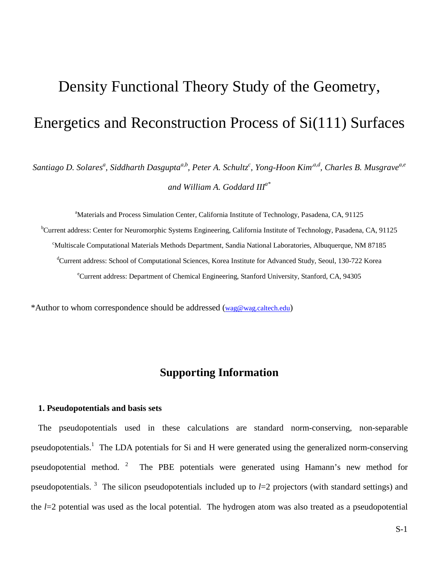# Density Functional Theory Study of the Geometry, Energetics and Reconstruction Process of Si(111) Surfaces

Santiago D. Solares<sup>a</sup>, Siddharth Dasgupta<sup>a,b</sup>, Peter A. Schultz<sup>c</sup>, Yong-Hoon Kim'<sup>a,d</sup>, Charles B. Musgrave<sup>a,e</sup> *and William A. Goddard IIIa\**

<sup>a</sup>Materials and Process Simulation Center, California Institute of Technology, Pasadena, CA, 91125 <sup>b</sup>Current address: Center for Neuromorphic Systems Engineering, California Institute of Technology, Pasadena, CA, 91125 c Multiscale Computational Materials Methods Department, Sandia National Laboratories, Albuquerque, NM 87185 d Current address: School of Computational Sciences, Korea Institute for Advanced Study, Seoul, 130-722 Korea e Current address: Department of Chemical Engineering, Stanford University, Stanford, CA, 94305

\*Author to whom correspondence should be addressed (wag@wag.caltech.edu)

### **Supporting Information**

#### **1. Pseudopotentials and basis sets**

The pseudopotentials used in these calculations are standard norm-conserving, non-separable pseudopotentials.<sup>1</sup> The LDA potentials for Si and H were generated using the generalized norm-conserving pseudopotential method. <sup>2</sup> The PBE potentials were generated using Hamann's new method for pseudopotentials. <sup>3</sup> The silicon pseudopotentials included up to *l*=2 projectors (with standard settings) and the *l*=2 potential was used as the local potential. The hydrogen atom was also treated as a pseudopotential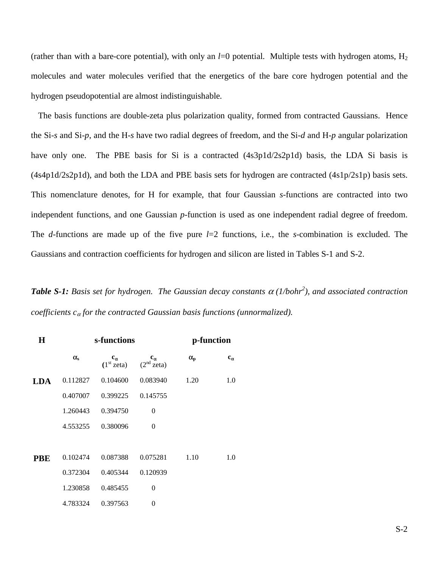(rather than with a bare-core potential), with only an  $l=0$  potential. Multiple tests with hydrogen atoms,  $H_2$ molecules and water molecules verified that the energetics of the bare core hydrogen potential and the hydrogen pseudopotential are almost indistinguishable.

The basis functions are double-zeta plus polarization quality, formed from contracted Gaussians. Hence the Si-*s* and Si-*p*, and the H-*s* have two radial degrees of freedom, and the Si-*d* and H-*p* angular polarization have only one. The PBE basis for Si is a contracted (4s3p1d/2s2p1d) basis, the LDA Si basis is (4s4p1d/2s2p1d), and both the LDA and PBE basis sets for hydrogen are contracted (4s1p/2s1p) basis sets. This nomenclature denotes, for H for example, that four Gaussian *s*-functions are contracted into two independent functions, and one Gaussian *p*-function is used as one independent radial degree of freedom. The *d*-functions are made up of the five pure *l*=2 functions, i.e., the *s*-combination is excluded. The Gaussians and contraction coefficients for hydrogen and silicon are listed in Tables S-1 and S-2.

*Table S-1: Basis set for hydrogen. The Gaussian decay constants*  $\alpha$  *(1/bohr<sup>2</sup>), and associated contraction coefficients c*α *for the contracted Gaussian basis functions (unnormalized).* 

| $\bf H$    | s-functions      |                                        |                                        | p-function       |              |
|------------|------------------|----------------------------------------|----------------------------------------|------------------|--------------|
|            | $\alpha_{\rm s}$ | $c_{\alpha}$<br>(1 <sup>st</sup> zeta) | $c_{\alpha}$<br>(2 <sup>nd</sup> zeta) | $\alpha_{\rm p}$ | $c_{\alpha}$ |
| LDA        | 0.112827         | 0.104600                               | 0.083940                               | 1.20             | 1.0          |
|            | 0.407007         | 0.399225                               | 0.145755                               |                  |              |
|            | 1.260443         | 0.394750                               | $\theta$                               |                  |              |
|            | 4.553255         | 0.380096                               | $\Omega$                               |                  |              |
|            |                  |                                        |                                        |                  |              |
| <b>PBE</b> | 0.102474         | 0.087388                               | 0.075281                               | 1.10             | 1.0          |
|            | 0.372304         | 0.405344                               | 0.120939                               |                  |              |
|            | 1.230858         | 0.485455                               | $\theta$                               |                  |              |
|            | 4.783324         | 0.397563                               | $\theta$                               |                  |              |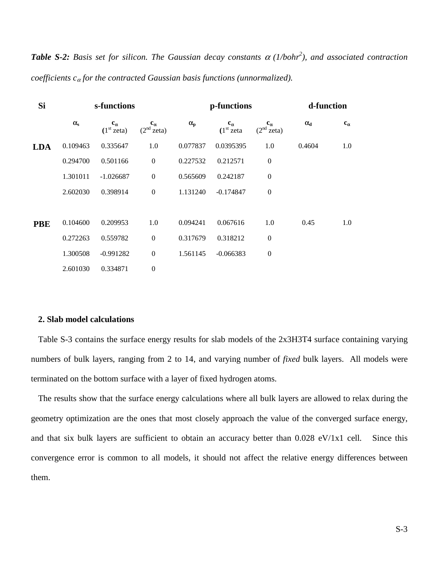*Table S-2: Basis set for silicon. The Gaussian decay constants* α *(1/bohr2 ), and associated contraction coefficients c*α *for the contracted Gaussian basis functions (unnormalized).* 

| <b>Si</b>  |                  | s-functions                            |                                        |              | p-functions                            |                                                 | d-function       |              |
|------------|------------------|----------------------------------------|----------------------------------------|--------------|----------------------------------------|-------------------------------------------------|------------------|--------------|
|            | $\alpha_{\rm s}$ | $c_{\alpha}$<br>(1 <sup>st</sup> zeta) | $c_{\alpha}$<br>(2 <sup>nd</sup> zeta) | $\alpha_{p}$ | $c_{\alpha}$<br>(1 <sup>st</sup> zeta) | $\mathbf{c}_{\alpha}$<br>(2 <sup>nd</sup> zeta) | $\alpha_{\rm d}$ | $c_{\alpha}$ |
| <b>LDA</b> | 0.109463         | 0.335647                               | 1.0                                    | 0.077837     | 0.0395395                              | 1.0                                             | 0.4604           | 1.0          |
|            | 0.294700         | 0.501166                               | $\mathbf{0}$                           | 0.227532     | 0.212571                               | $\mathbf{0}$                                    |                  |              |
|            | 1.301011         | $-1.026687$                            | $\boldsymbol{0}$                       | 0.565609     | 0.242187                               | $\boldsymbol{0}$                                |                  |              |
|            | 2.602030         | 0.398914                               | $\boldsymbol{0}$                       | 1.131240     | $-0.174847$                            | $\mathbf{0}$                                    |                  |              |
|            |                  |                                        |                                        |              |                                        |                                                 |                  |              |
| <b>PBE</b> | 0.104600         | 0.209953                               | 1.0                                    | 0.094241     | 0.067616                               | 1.0                                             | 0.45             | 1.0          |
|            | 0.272263         | 0.559782                               | $\boldsymbol{0}$                       | 0.317679     | 0.318212                               | $\boldsymbol{0}$                                |                  |              |
|            | 1.300508         | $-0.991282$                            | $\mathbf{0}$                           | 1.561145     | $-0.066383$                            | $\mathbf{0}$                                    |                  |              |
|            | 2.601030         | 0.334871                               | $\boldsymbol{0}$                       |              |                                        |                                                 |                  |              |

#### **2. Slab model calculations**

Table S-3 contains the surface energy results for slab models of the 2x3H3T4 surface containing varying numbers of bulk layers, ranging from 2 to 14, and varying number of *fixed* bulk layers. All models were terminated on the bottom surface with a layer of fixed hydrogen atoms.

The results show that the surface energy calculations where all bulk layers are allowed to relax during the geometry optimization are the ones that most closely approach the value of the converged surface energy, and that six bulk layers are sufficient to obtain an accuracy better than 0.028 eV/1x1 cell. Since this convergence error is common to all models, it should not affect the relative energy differences between them.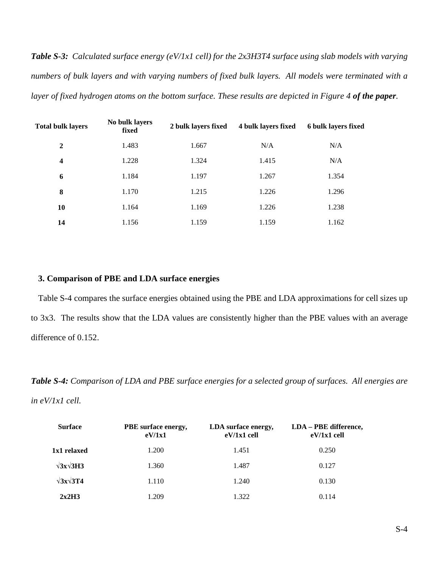*Table S-3: Calculated surface energy (eV/1x1 cell) for the 2x3H3T4 surface using slab models with varying numbers of bulk layers and with varying numbers of fixed bulk layers. All models were terminated with a*  layer of fixed hydrogen atoms on the bottom surface. These results are depicted in Figure 4 of the paper.

| <b>Total bulk layers</b> | No bulk layers<br>fixed | 2 bulk layers fixed | 4 bulk layers fixed | 6 bulk layers fixed |
|--------------------------|-------------------------|---------------------|---------------------|---------------------|
| $\overline{2}$           | 1.483                   | 1.667               | N/A                 | N/A                 |
| $\overline{\mathbf{4}}$  | 1.228                   | 1.324               | 1.415               | N/A                 |
| 6                        | 1.184                   | 1.197               | 1.267               | 1.354               |
| 8                        | 1.170                   | 1.215               | 1.226               | 1.296               |
| 10                       | 1.164                   | 1.169               | 1.226               | 1.238               |
| 14                       | 1.156                   | 1.159               | 1.159               | 1.162               |

#### **3. Comparison of PBE and LDA surface energies**

Table S-4 compares the surface energies obtained using the PBE and LDA approximations for cell sizes up to 3x3. The results show that the LDA values are consistently higher than the PBE values with an average difference of 0.152.

*Table S-4: Comparison of LDA and PBE surface energies for a selected group of surfaces. All energies are in eV/1x1 cell.* 

| <b>Surface</b>        | PBE surface energy,<br>eV/1x1 | LDA surface energy,<br>$eV/1x1$ cell | LDA - PBE difference,<br>$eV/1x1$ cell |
|-----------------------|-------------------------------|--------------------------------------|----------------------------------------|
| 1x1 relaxed           | 1.200                         | 1.451                                | 0.250                                  |
| $\sqrt{3x}\sqrt{3H3}$ | 1.360                         | 1.487                                | 0.127                                  |
| $\sqrt{3}x\sqrt{3}T4$ | 1.110                         | 1.240                                | 0.130                                  |
| 2x2H3                 | 1.209                         | 1.322                                | 0.114                                  |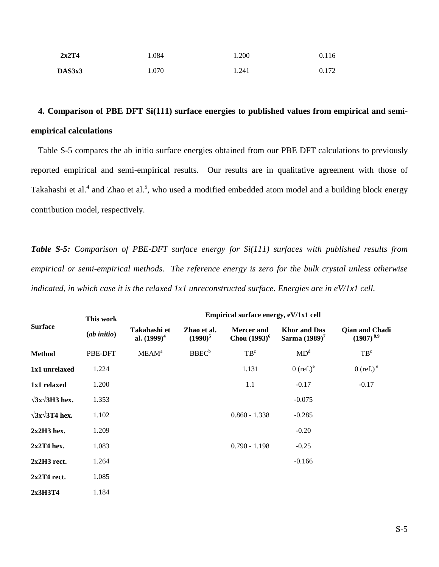| 2x2T4  | 1.084 | 1.200 | 0.116 |
|--------|-------|-------|-------|
| DAS3x3 | 1.070 | 1.241 | 0.172 |

## **4. Comparison of PBE DFT Si(111) surface energies to published values from empirical and semiempirical calculations**

Table S-5 compares the ab initio surface energies obtained from our PBE DFT calculations to previously reported empirical and semi-empirical results. Our results are in qualitative agreement with those of Takahashi et al.<sup>4</sup> and Zhao et al.<sup>5</sup>, who used a modified embedded atom model and a building block energy contribution model, respectively.

*Table S-5: Comparison of PBE-DFT surface energy for Si(111) surfaces with published results from empirical or semi-empirical methods. The reference energy is zero for the bulk crystal unless otherwise indicated, in which case it is the relaxed 1x1 unreconstructed surface. Energies are in eV/1x1 cell.*

| <b>Surface</b>             | This work   | Empirical surface energy, eV/1x1 cell |                           |                                      |                                         |                                         |  |
|----------------------------|-------------|---------------------------------------|---------------------------|--------------------------------------|-----------------------------------------|-----------------------------------------|--|
|                            | (ab initio) | Takahashi et<br>al. $(1999)^4$        | Zhao et al.<br>$(1998)^5$ | <b>Mercer</b> and<br>Chou $(1993)^6$ | <b>Khor</b> and Das<br>Sarma $(1989)^7$ | <b>Qian and Chadi</b><br>$(1987)^{8,9}$ |  |
| <b>Method</b>              | PBE-DFT     | <b>MEAM</b> <sup>a</sup>              | BBEC <sup>b</sup>         | TB <sup>c</sup>                      | MD <sup>d</sup>                         | TB <sup>c</sup>                         |  |
| 1x1 unrelaxed              | 1.224       |                                       |                           | 1.131                                | $0$ (ref.) $^e$                         | $0$ (ref.) <sup>e</sup>                 |  |
| 1x1 relaxed                | 1.200       |                                       |                           | 1.1                                  | $-0.17$                                 | $-0.17$                                 |  |
| $\sqrt{3}x\sqrt{3}H3$ hex. | 1.353       |                                       |                           |                                      | $-0.075$                                |                                         |  |
| $\sqrt{3x}\sqrt{3T4}$ hex. | 1.102       |                                       |                           | $0.860 - 1.338$                      | $-0.285$                                |                                         |  |
| $2x2H3$ hex.               | 1.209       |                                       |                           |                                      | $-0.20$                                 |                                         |  |
| $2x2T4$ hex.               | 1.083       |                                       |                           | $0.790 - 1.198$                      | $-0.25$                                 |                                         |  |
| $2x2H3$ rect.              | 1.264       |                                       |                           |                                      | $-0.166$                                |                                         |  |
| $2x2T4$ rect.              | 1.085       |                                       |                           |                                      |                                         |                                         |  |
| 2x3H3T4                    | 1.184       |                                       |                           |                                      |                                         |                                         |  |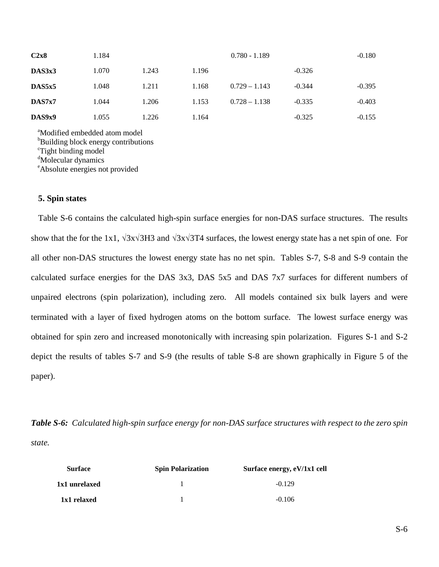| C2x8   | 1.184 |       |       | $0.780 - 1.189$ |          | $-0.180$ |
|--------|-------|-------|-------|-----------------|----------|----------|
| DAS3x3 | 1.070 | 1.243 | 1.196 |                 | $-0.326$ |          |
| DAS5x5 | 1.048 | 1.211 | 1.168 | $0.729 - 1.143$ | $-0.344$ | $-0.395$ |
| DAS7x7 | 1.044 | 1.206 | 1.153 | $0.728 - 1.138$ | $-0.335$ | $-0.403$ |
| DAS9x9 | 1.055 | 1.226 | 1.164 |                 | $-0.325$ | $-0.155$ |

a Modified embedded atom model <sup>b</sup>Building block energy contributions c Tight binding model d Molecular dynamics e Absolute energies not provided

#### **5. Spin states**

Table S-6 contains the calculated high-spin surface energies for non-DAS surface structures. The results show that the for the 1x1, √3x√3H3 and √3x√3T4 surfaces, the lowest energy state has a net spin of one. For all other non-DAS structures the lowest energy state has no net spin. Tables S-7, S-8 and S-9 contain the calculated surface energies for the DAS 3x3, DAS 5x5 and DAS 7x7 surfaces for different numbers of unpaired electrons (spin polarization), including zero. All models contained six bulk layers and were terminated with a layer of fixed hydrogen atoms on the bottom surface. The lowest surface energy was obtained for spin zero and increased monotonically with increasing spin polarization. Figures S-1 and S-2 depict the results of tables S-7 and S-9 (the results of table S-8 are shown graphically in Figure 5 of the paper).

*Table S-6: Calculated high-spin surface energy for non-DAS surface structures with respect to the zero spin state.* 

| <b>Surface</b> | <b>Spin Polarization</b> | Surface energy, eV/1x1 cell |
|----------------|--------------------------|-----------------------------|
| 1x1 unrelaxed  |                          | $-0.129$                    |
| 1x1 relaxed    |                          | $-0.106$                    |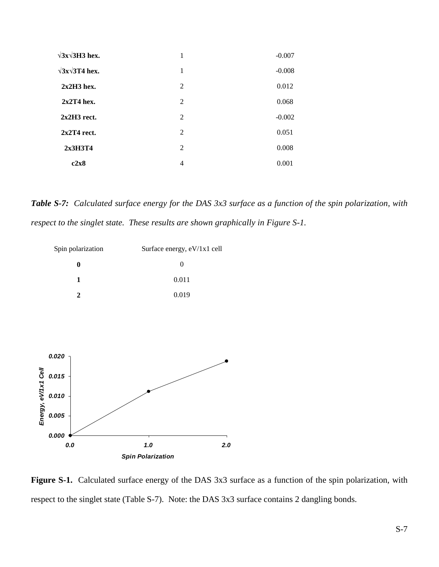| $\sqrt{3}x\sqrt{3}H3$ hex. | 1 | $-0.007$ |
|----------------------------|---|----------|
| $\sqrt{3}x\sqrt{3}T4$ hex. | 1 | $-0.008$ |
| $2x2H3$ hex.               | 2 | 0.012    |
| $2x2T4$ hex.               | 2 | 0.068    |
| $2x2H3$ rect.              | 2 | $-0.002$ |
| $2x2T4$ rect.              | 2 | 0.051    |
| 2x3H3T4                    | 2 | 0.008    |
| c2x8                       | 4 | 0.001    |

*Table S-7: Calculated surface energy for the DAS 3x3 surface as a function of the spin polarization, with respect to the singlet state. These results are shown graphically in Figure S-1.* 



**Figure S-1.** Calculated surface energy of the DAS 3x3 surface as a function of the spin polarization, with respect to the singlet state (Table S-7). Note: the DAS 3x3 surface contains 2 dangling bonds.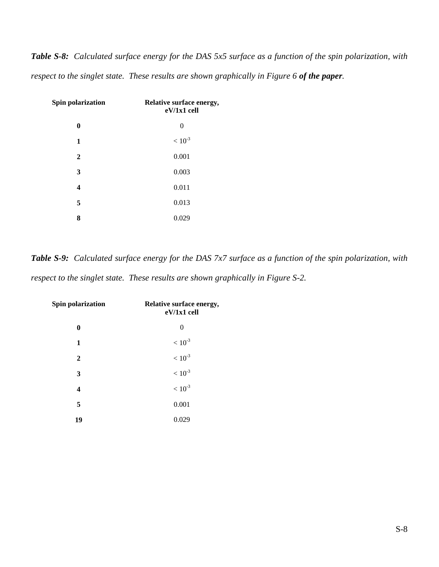*Table S-8: Calculated surface energy for the DAS 5x5 surface as a function of the spin polarization, with respect to the singlet state. These results are shown graphically in Figure 6 of the paper.* 

| Spin polarization       | Relative surface energy,<br>eV/1x1 cell |
|-------------------------|-----------------------------------------|
| 0                       | 0                                       |
| 1                       | $<10^{-3}$                              |
| $\mathbf{2}$            | 0.001                                   |
| 3                       | 0.003                                   |
| $\overline{\mathbf{4}}$ | 0.011                                   |
| 5                       | 0.013                                   |
| 8                       | 0.029                                   |

*Table S-9: Calculated surface energy for the DAS 7x7 surface as a function of the spin polarization, with respect to the singlet state. These results are shown graphically in Figure S-2.* 

| Spin polarization | Relative surface energy,<br>$eV/1x1$ cell |
|-------------------|-------------------------------------------|
| 0                 | 0                                         |
| 1                 | $< 10^{-3}$                               |
| $\mathbf{2}$      | $<10^{-.3}$                               |
| 3                 | $< 10^{-3}$                               |
| 4                 | $< 10^{-3}$                               |
| 5                 | 0.001                                     |
| 19                | 0.029                                     |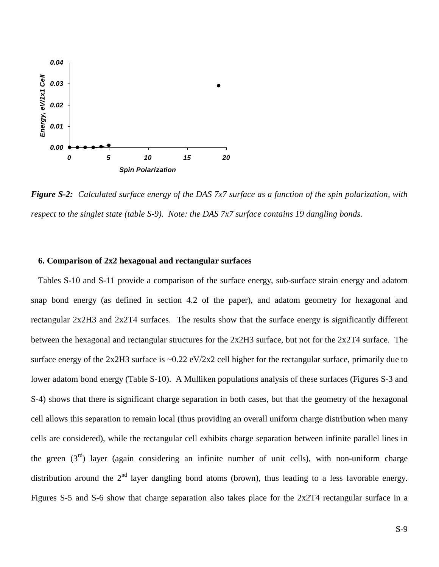

*Figure S-2: Calculated surface energy of the DAS 7x7 surface as a function of the spin polarization, with respect to the singlet state (table S-9). Note: the DAS 7x7 surface contains 19 dangling bonds.* 

#### **6. Comparison of 2x2 hexagonal and rectangular surfaces**

Tables S-10 and S-11 provide a comparison of the surface energy, sub-surface strain energy and adatom snap bond energy (as defined in section 4.2 of the paper), and adatom geometry for hexagonal and rectangular 2x2H3 and 2x2T4 surfaces. The results show that the surface energy is significantly different between the hexagonal and rectangular structures for the 2x2H3 surface, but not for the 2x2T4 surface. The surface energy of the 2x2H3 surface is  $\sim 0.22$  eV/2x2 cell higher for the rectangular surface, primarily due to lower adatom bond energy (Table S-10). A Mulliken populations analysis of these surfaces (Figures S-3 and S-4) shows that there is significant charge separation in both cases, but that the geometry of the hexagonal cell allows this separation to remain local (thus providing an overall uniform charge distribution when many cells are considered), while the rectangular cell exhibits charge separation between infinite parallel lines in the green  $(3^{rd})$  layer (again considering an infinite number of unit cells), with non-uniform charge distribution around the  $2<sup>nd</sup>$  layer dangling bond atoms (brown), thus leading to a less favorable energy. Figures S-5 and S-6 show that charge separation also takes place for the 2x2T4 rectangular surface in a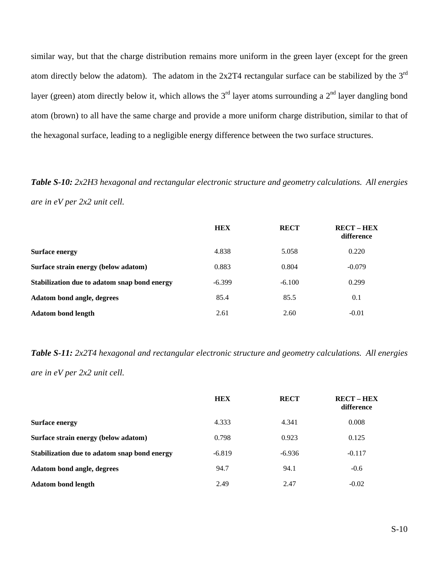similar way, but that the charge distribution remains more uniform in the green layer (except for the green atom directly below the adatom). The adatom in the  $2x2T4$  rectangular surface can be stabilized by the  $3<sup>rd</sup>$ layer (green) atom directly below it, which allows the  $3<sup>rd</sup>$  layer atoms surrounding a  $2<sup>nd</sup>$  layer dangling bond atom (brown) to all have the same charge and provide a more uniform charge distribution, similar to that of the hexagonal surface, leading to a negligible energy difference between the two surface structures.

*Table S-10: 2x2H3 hexagonal and rectangular electronic structure and geometry calculations. All energies are in eV per 2x2 unit cell.* 

|                                              | <b>HEX</b> | <b>RECT</b> | <b>RECT - HEX</b><br>difference |
|----------------------------------------------|------------|-------------|---------------------------------|
| <b>Surface energy</b>                        | 4.838      | 5.058       | 0.220                           |
| Surface strain energy (below adatom)         | 0.883      | 0.804       | $-0.079$                        |
| Stabilization due to adatom snap bond energy | $-6.399$   | $-6.100$    | 0.299                           |
| Adatom bond angle, degrees                   | 85.4       | 85.5        | 0.1                             |
| <b>Adatom bond length</b>                    | 2.61       | 2.60        | $-0.01$                         |

*Table S-11: 2x2T4 hexagonal and rectangular electronic structure and geometry calculations. All energies are in eV per 2x2 unit cell.* 

|                                              | <b>HEX</b> | <b>RECT</b> | <b>RECT-HEX</b><br>difference |
|----------------------------------------------|------------|-------------|-------------------------------|
| <b>Surface energy</b>                        | 4.333      | 4.341       | 0.008                         |
| Surface strain energy (below adatom)         | 0.798      | 0.923       | 0.125                         |
| Stabilization due to adatom snap bond energy | $-6.819$   | $-6.936$    | $-0.117$                      |
| Adatom bond angle, degrees                   | 94.7       | 94.1        | $-0.6$                        |
| <b>Adatom bond length</b>                    | 2.49       | 2.47        | $-0.02$                       |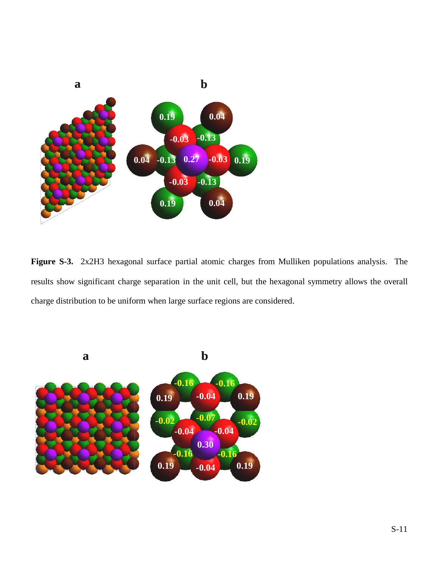

**Figure S-3.** 2x2H3 hexagonal surface partial atomic charges from Mulliken populations analysis. The results show significant charge separation in the unit cell, but the hexagonal symmetry allows the overall charge distribution to be uniform when large surface regions are considered.

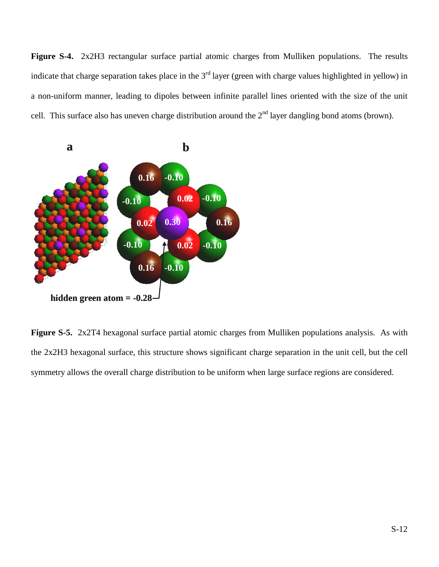**Figure S-4.** 2x2H3 rectangular surface partial atomic charges from Mulliken populations. The results indicate that charge separation takes place in the  $3<sup>rd</sup>$  layer (green with charge values highlighted in yellow) in a non-uniform manner, leading to dipoles between infinite parallel lines oriented with the size of the unit cell. This surface also has uneven charge distribution around the  $2<sup>nd</sup>$  layer dangling bond atoms (brown).



**Figure S-5.** 2x2T4 hexagonal surface partial atomic charges from Mulliken populations analysis. As with the 2x2H3 hexagonal surface, this structure shows significant charge separation in the unit cell, but the cell symmetry allows the overall charge distribution to be uniform when large surface regions are considered.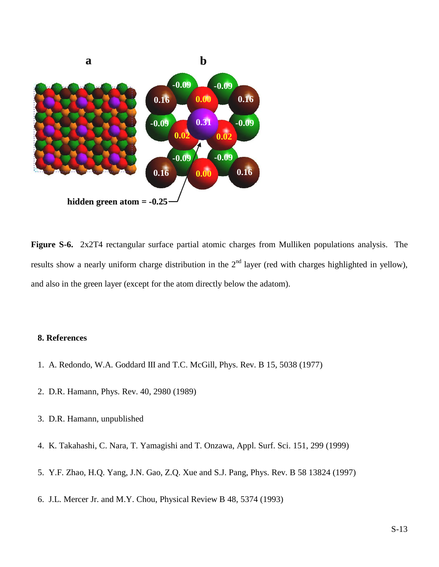

**Figure S-6.** 2x2T4 rectangular surface partial atomic charges from Mulliken populations analysis. The results show a nearly uniform charge distribution in the  $2<sup>nd</sup>$  layer (red with charges highlighted in yellow), and also in the green layer (except for the atom directly below the adatom).

#### **8. References**

- 1. A. Redondo, W.A. Goddard III and T.C. McGill, Phys. Rev. B 15, 5038 (1977)
- 2. D.R. Hamann, Phys. Rev. 40, 2980 (1989)
- 3. D.R. Hamann, unpublished
- 4. K. Takahashi, C. Nara, T. Yamagishi and T. Onzawa, Appl. Surf. Sci. 151, 299 (1999)
- 5. Y.F. Zhao, H.Q. Yang, J.N. Gao, Z.Q. Xue and S.J. Pang, Phys. Rev. B 58 13824 (1997)
- 6. J.L. Mercer Jr. and M.Y. Chou, Physical Review B 48, 5374 (1993)